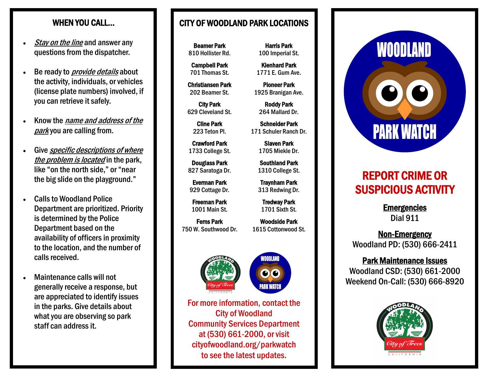- **Stay on the line and answer any** questions from the dispatcher.
- Be ready to *provide details* about the activity, individuals, or vehicles (license plate numbers) involved, if you can retrieve it safely.
- Know the name and address of the parkyou are calling from.
- Give *specific descriptions of where* the problem is located in the park. like "on the north side," or "near the big slide on the playground."
- Calls to Woodland Police Department are prioritized. Priority is determined by the Police Department based on the availability of officers in proximity to the location, and the number of calls received.
- Maintenance calls will not generally receive a response, but are appreciated to identify issues in the parks. Give details about what you are observing so park staff can address it.

# WHEN YOU CALL... **I I** CITY OF WOODLAND PARK LOCATIONS

Beamer Park 810 Hollister Rd.

Campbell Park 701 Thomas St.

Christiansen Park 202 Beamer St.

City Park 629 Cleveland St.

Cline Park 223 Teton Pl.

Crawford Park 1733 College St.

Douglass Park 827 Saratoga Dr.

Everman Park 929 Cottage Dr.

Freeman Park 1001 Main St.

Ferns Park 750 W. Southwood Dr.

Woodside Park 1615 Cottonwood St.

WOODLANI

00



For more information, contact the City of Woodland Community Services Department at (530) 661-2000, or visit cityofwoodland.org/parkwatch to see the latest updates.

Harris Park 100 Imperial St.

Klenhard Park 1771 E. Gum Ave.

Pioneer Park 1925 Branigan Ave.

> Roddy Park 264 Mallard Dr.

Schneider Park 171 Schuler Ranch Dr.

> Slaven Park 1705 Miekle Dr.

Southland Park 1310 College St.

Traynham Park 313 Redwing Dr.

Tredway Park 1701 Sixth St.



# REPORT CRIME OR SUSPICIOUS ACTIVITY

**Emergencies** Dial 911

Non-Emergency Woodland PD: (530) 666-2411

#### Park Maintenance Issues Woodland CSD: (530) 661-2000 Weekend On-Call: (530) 666-8920